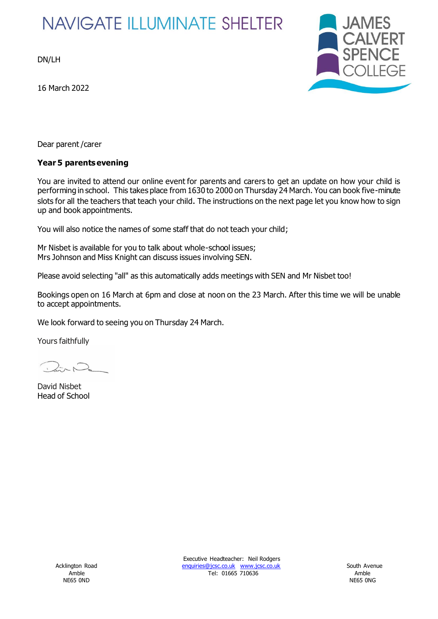# **NAVIGATE ILLUMINATE SHELTER**

DN/LH

16 March 2022



Dear parent /carer

#### **Year 5 parents evening**

You are invited to attend our online event for parents and carers to get an update on how your child is performing in school. This takes place from 1630 to 2000 on Thursday 24 March. You can book five-minute slots for all the teachers that teach your child. The instructions on the next page let you know how to sign up and book appointments.

You will also notice the names of some staff that do not teach your child;

Mr Nisbet is available for you to talk about whole-school issues; Mrs Johnson and Miss Knight can discuss issues involving SEN.

Please avoid selecting "all" as this automatically adds meetings with SEN and Mr Nisbet too!

Bookings open on 16 March at 6pm and close at noon on the 23 March. After this time we will be unable to accept appointments.

We look forward to seeing you on Thursday 24 March.

Yours faithfully

David Nisbet Head of School

Executive Headteacher: Neil Rodgers Acklington Road [enquiries@jcsc.co.uk](mailto:enquiries@jcsc.co.uk) [www.jcsc.co.uk](http://www.jcsc.co.uk/) enquiries@jcsc.co.uk www.jcsc.co.uk Amble Tel: 01665 710636 Amble